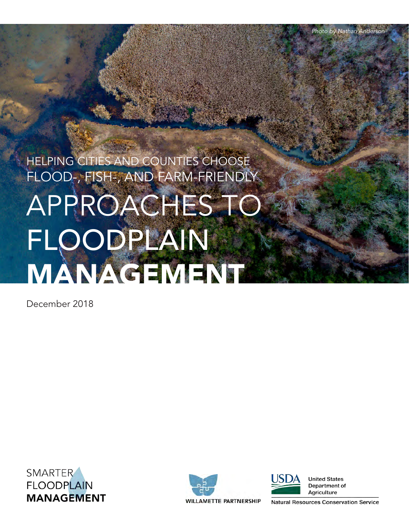# HELPING CITIES AND COUNTIES CHOOSE FLOOD-, FISH-, AND FARM-FRIENDLY APPROACHES TO FLOODPLAIN MANAGEMENT

December 2018







**United States** Department of Agriculture

**Natural Resources Conservation Service**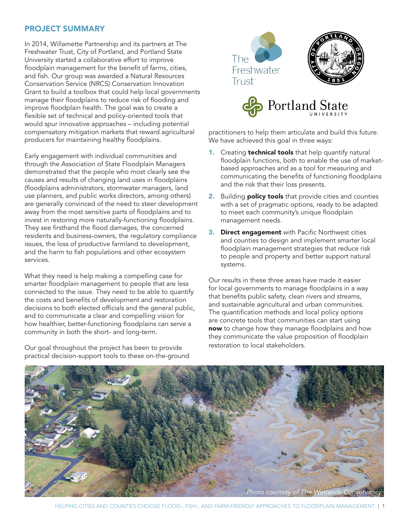## PROJECT SUMMARY

In 2014, Willamette Partnership and its partners at The Freshwater Trust, City of Portland, and Portland State University started a collaborative effort to improve floodplain management for the benefit of farms, cities, and fish. Our group was awarded a Natural Resources Conservation Service (NRCS) Conservation Innovation Grant to build a toolbox that could help local governments manage their floodplains to reduce risk of flooding and improve floodplain health. The goal was to create a flexible set of technical and policy-oriented tools that would spur innovative approaches – including potential compensatory mitigation markets that reward agricultural producers for maintaining healthy floodplains.

Early engagement with individual communities and through the Association of State Floodplain Managers demonstrated that the people who most clearly see the causes and results of changing land uses in floodplains (floodplains administrators, stormwater managers, land use planners, and public works directors, among others) are generally convinced of the need to steer development away from the most sensitive parts of floodplains and to invest in restoring more naturally-functioning floodplains. They see firsthand the flood damages, the concerned residents and business-owners, the regulatory compliance issues, the loss of productive farmland to development, and the harm to fish populations and other ecosystem services.

What they need is help making a compelling case for smarter floodplain management to people that are less connected to the issue. They need to be able to quantify the costs and benefits of development and restoration decisions to both elected officials and the general public, and to communicate a clear and compelling vision for how healthier, better-functioning floodplains can serve a community in both the short- and long-term.

Our goal throughout the project has been to provide practical decision-support tools to these on-the-ground





practitioners to help them articulate and build this future. We have achieved this goal in three ways:

- 1. Creating **technical tools** that help quantify natural floodplain functions, both to enable the use of marketbased approaches and as a tool for measuring and communicating the benefits of functioning floodplains and the risk that their loss presents.
- 2. Building **policy tools** that provide cities and counties with a set of pragmatic options, ready to be adapted to meet each community's unique floodplain management needs.
- **3. Direct engagement** with Pacific Northwest cities and counties to design and implement smarter local floodplain management strategies that reduce risk to people and property and better support natural systems.

Our results in these three areas have made it easier for local governments to manage floodplains in a way that benefits public safety, clean rivers and streams, and sustainable agricultural and urban communities. The quantification methods and local policy options are concrete tools that communities can start using now to change how they manage floodplains and how they communicate the value proposition of floodplain restoration to local stakeholders.

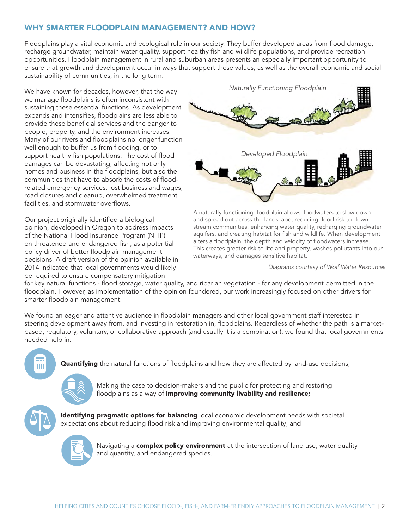## WHY SMARTER FLOODPLAIN MANAGEMENT? AND HOW?

Floodplains play a vital economic and ecological role in our society. They buffer developed areas from flood damage, recharge groundwater, maintain water quality, support healthy fish and wildlife populations, and provide recreation opportunities. Floodplain management in rural and suburban areas presents an especially important opportunity to ensure that growth and development occur in ways that support these values, as well as the overall economic and social sustainability of communities, in the long term.

We have known for decades, however, that the way we manage floodplains is often inconsistent with sustaining these essential functions. As development expands and intensifies, floodplains are less able to provide these beneficial services and the danger to people, property, and the environment increases. Many of our rivers and floodplains no longer function well enough to buffer us from flooding, or to support healthy fish populations. The cost of flood damages can be devastating, affecting not only homes and business in the floodplains, but also the communities that have to absorb the costs of floodrelated emergency services, lost business and wages, road closures and cleanup, overwhelmed treatment facilities, and stormwater overflows.

Our project originally identified a biological opinion, developed in Oregon to address impacts of the National Flood Insurance Program (NFIP) on threatened and endangered fish, as a potential policy driver of better floodplain management decisions. A draft version of the opinion available in 2014 indicated that local governments would likely be required to ensure compensatory mitigation



A naturally functioning floodplain allows floodwaters to slow down and spread out across the landscape, reducing flood risk to downstream communities, enhancing water quality, recharging groundwater aquifers, and creating habitat for fish and wildlife. When development alters a floodplain, the depth and velocity of floodwaters increase. This creates greater risk to life and property, washes pollutants into our waterways, and damages sensitive habitat.

*Diagrams courtesy of Wolf Water Resources*

for key natural functions - flood storage, water quality, and riparian vegetation - for any development permitted in the floodplain. However, as implementation of the opinion foundered, our work increasingly focused on other drivers for smarter floodplain management.

We found an eager and attentive audience in floodplain managers and other local government staff interested in steering development away from, and investing in restoration in, floodplains. Regardless of whether the path is a marketbased, regulatory, voluntary, or collaborative approach (and usually it is a combination), we found that local governments needed help in:





Making the case to decision-makers and the public for protecting and restoring floodplains as a way of improving community livability and resilience;



**Identifying pragmatic options for balancing** local economic development needs with societal expectations about reducing flood risk and improving environmental quality; and



Navigating a **complex policy environment** at the intersection of land use, water quality and quantity, and endangered species.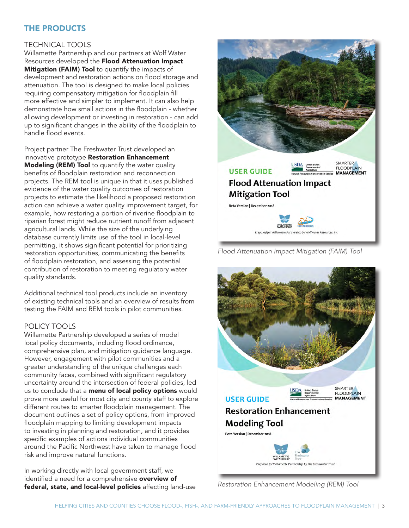# THE PRODUCTS

### TECHNICAL TOOLS

Willamette Partnership and our partners at Wolf Water Resources developed the Flood Attenuation Impact Mitigation (FAIM) Tool to quantify the impacts of development and restoration actions on flood storage and attenuation. The tool is designed to make local policies requiring compensatory mitigation for floodplain fill more effective and simpler to implement. It can also help demonstrate how small actions in the floodplain - whether allowing development or investing in restoration - can add up to significant changes in the ability of the floodplain to handle flood events.

Project partner The Freshwater Trust developed an innovative prototype Restoration Enhancement Modeling (REM) Tool to quantify the water quality benefits of floodplain restoration and reconnection projects. The REM tool is unique in that it uses published evidence of the water quality outcomes of restoration projects to estimate the likelihood a proposed restoration action can achieve a water quality improvement target, for example, how restoring a portion of riverine floodplain to riparian forest might reduce nutrient runoff from adjacent agricultural lands. While the size of the underlying database currently limits use of the tool in local-level permitting, it shows significant potential for prioritizing restoration opportunities, communicating the benefits of floodplain restoration, and assessing the potential contribution of restoration to meeting regulatory water quality standards.

Additional technical tool products include an inventory of existing technical tools and an overview of results from testing the FAIM and REM tools in pilot communities.

## POLICY TOOLS

Willamette Partnership developed a series of model local policy documents, including flood ordinance, comprehensive plan, and mitigation guidance language. However, engagement with pilot communities and a greater understanding of the unique challenges each community faces, combined with significant regulatory uncertainty around the intersection of federal policies, led us to conclude that a **menu of local policy options** would prove more useful for most city and county staff to explore different routes to smarter floodplain management. The document outlines a set of policy options, from improved floodplain mapping to limiting development impacts to investing in planning and restoration, and it provides specific examples of actions individual communities around the Pacific Northwest have taken to manage flood risk and improve natural functions.

In working directly with local government staff, we identified a need for a comprehensive overview of federal, state, and local-level policies affecting land-use *Restoration Enhancement Modeling (REM) Tool*



*Flood Attenuation Impact Mitigation (FAIM) Tool*

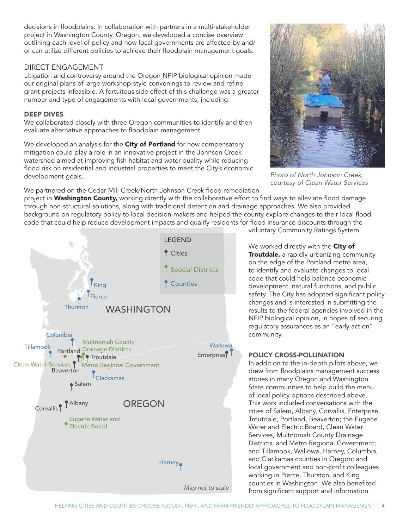decisions in floodplains. In collaboration with partners in a multi-stakeholder project in Washington County, Oregon, we developed a concise overview outlining each level of policy and how local governments are affected by and/ or can utilize different policies to achieve their floodplain management goals.

#### DIRECT ENGAGEMENT

Litigation and controversy around the Oregon NFIP biological opinion made our original plans of large workshop-style convenings to review and refine grant projects infeasible. A fortuitous side effect of this challenge was a greater number and type of engagements with local governments, including:

#### DEEP DIVES

We collaborated closely with three Oregon communities to identify and then evaluate alternative approaches to floodplain management.

We developed an analysis for the City of Portland for how compensatory mitigation could play a role in an innovative project in the Johnson Creek watershed aimed at improving fish habitat and water quality while reducing flood risk on residential and industrial properties to meet the City's economic development goals.

We partnered on the Cedar Mill Creek/North Johnson Creek flood remediation

project in Washington County, working directly with the collaborative effort to find ways to alleviate flood damage through non-structural solutions, along with traditional detention and drainage approaches. We also provided background on regulatory policy to local decision-makers and helped the county explore changes to their local flood code that could help reduce development impacts and qualify residents for flood insurance discounts through the



voluntary Community Ratings System.

*courtesy of Clean Water Services*

We worked directly with the City of Troutdale, a rapidly urbanizing community on the edge of the Portland metro area, to identify and evaluate changes to local code that could help balance economic development, natural functions, and public safety. The City has adopted significant policy changes and is interested in submitting the results to the federal agencies involved in the NFIP biological opinion, in hopes of securing regulatory assurances as an "early action" community.

#### POLICY CROSS-POLLINATION

In addition to the in-depth pilots above, we drew from floodplains management success stories in many Oregon and Washington State communities to help build the menu of local policy options described above. This work included conversations with the cities of Salem, Albany, Corvallis, Enterprise, Troutdale, Portland, Beaverton; the Eugene Water and Electric Board, Clean Water Services, Multnomah County Drainage Districts, and Metro Regional Government; and Tillamook, Wallowa, Harney, Columbia, and Clackamas counties in Oregon; and local government and non-profit colleagues working in Pierce, Thurston, and King counties in Washington. We also benefited from significant support and information

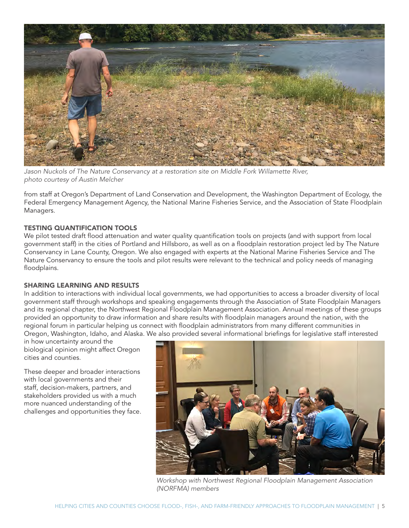

*Jason Nuckols of The Nature Conservancy at a restoration site on Middle Fork Willamette River, photo courtesy of Austin Melcher*

from staff at Oregon's Department of Land Conservation and Development, the Washington Department of Ecology, the Federal Emergency Management Agency, the National Marine Fisheries Service, and the Association of State Floodplain Managers.

#### TESTING QUANTIFICATION TOOLS

We pilot tested draft flood attenuation and water quality quantification tools on projects (and with support from local government staff) in the cities of Portland and Hillsboro, as well as on a floodplain restoration project led by The Nature Conservancy in Lane County, Oregon. We also engaged with experts at the National Marine Fisheries Service and The Nature Conservancy to ensure the tools and pilot results were relevant to the technical and policy needs of managing floodplains.

#### SHARING LEARNING AND RESULTS

In addition to interactions with individual local governments, we had opportunities to access a broader diversity of local government staff through workshops and speaking engagements through the Association of State Floodplain Managers and its regional chapter, the Northwest Regional Floodplain Management Association. Annual meetings of these groups provided an opportunity to draw information and share results with floodplain managers around the nation, with the regional forum in particular helping us connect with floodplain administrators from many different communities in Oregon, Washington, Idaho, and Alaska. We also provided several informational briefings for legislative staff interested

in how uncertainty around the biological opinion might affect Oregon cities and counties.

These deeper and broader interactions with local governments and their staff, decision-makers, partners, and stakeholders provided us with a much more nuanced understanding of the challenges and opportunities they face.



*Workshop with Northwest Regional Floodplain Management Association (NORFMA) members*